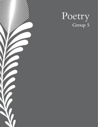

# Poetry<br>Group 5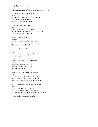# Of Secrets Kept

American International School, Chaudhuri, Aishani - 17

A stone skitters, loosed by the wind, lonely; with no one to hear it, does it make a sound? Many say it doesn't, and some say it wasn't ever anything at all.

A space is carved out of rock, a haven forced out of unforgiving sandstone; but the threshold remains uncrossed for centuries who does it protect, if it ever did?

A brush sweeps across stone, crimson, the colour of stories to tell, lives to record, but red is not red in the darkness, absent light. Was there ever a hand there?

A book is filled, carefully inked-in wisdom gathered over the years— reaching across time to guide those that come after, but what if it stays unread?

A husband climbs too high for favourite flowers, forever immortalised in art as he wasn't in flesh, if he ever was flesh but what of his love?

Love was carved into these walls centuries ago,

shaped into poetry and paintings lost to time. What happened to the love in its forgetting? Was it there, once, without anyone to remember?

Perhaps ghosts wove through grottoes they had haunted when alive; perhaps they loved the love they had left behind in these spaces when

there was no one else to love it, and that was enough.

we love, and perhaps that is enough.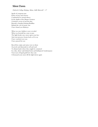## Silent Dawn

Dulwich College Beijing, Afnan, Adib Maxwell - 17

Spoils of conquests past Relics of joys and sorrows Condemned to eternal silence In the depths of the Mogao Grottoes A timeless cavern of ancient dust Beneath a hundred shining Buddhas Behind the veil of mystic rust I have found you Maitreya

What was once hidden is now revealed What was foretold has come to pass The light breaks once more upon your face And your presence beams back as if to say I have watched over you I have prayed for you

But all the scripts and sutras were to them As jewels and diamonds to sell and send To distant lands where they might be contained In a dim, silent vault behind locks and bulletproof windowpanes Your tears of liquid gold how they rain A thousand years more till the light dawns again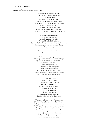### Graying Grottoes

Dulwich College Beijing, Zhao, Helena - 18

I have a thousand brothers and sisters, Yet I'm lost in the sea of whispers Of a forgotten past, Hauntingly, leaving me aghast. I'm right here, upholding militant, firmly. Though time — my mortal enemy — is deadly. Inside, I'm a rotting beauty. To be my bolster is now your duty, For I've kept a thousand lives and histories Within me –– too long. I'm exploding memories,

Which, in turn, mangle me. Open your eyes and see Past such temporary victories, For I'm full of invisible injuries. Save me, before time becomes your inescapable enemy. Understanding my anatomy is no blasphemy; On the contrary, It's quite visionary, For you are discovering mysteries Of ancient monasteries:

My head is a ceiling of paintings; My body is covered with wonderous writings; My arms open wide to all humankind –– Millennials ago you may find Sinners sitting by my side In lotus leaves, for I shall guide Them through tough times With my purifying, heavenly chimes; My feet, once prayed over, cleaned, and shined, Now have become slightly unrefined.

> So, if you may please Free me from the disease Of negligence. I want to be free But don't just let me be. I need more than mere company –– I need yin-yang harmony From the sunny moon And moony sun at noon. My enigmatic interior is covered In tales-old secrets to be discovered.

Within me resides the lives of brazen hearts Who've withstood sandstorms and devilish arts, Trading their last breaths for so-called treasures, Fulfilling their days with picturesque pleasures. Though, if you look deeply into their souls You may find lost smiles in abysmal holes. Human beings - oh, such strange creatures, Trying to find purpose via adventures, When instead, here I reside, Full of lessons to be learned inside: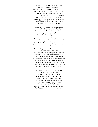There once was a prince so terribly kind, Who fled his palace of jewels behind With his parents upon a malicious murder attempt. Days passed, ravenous for food, none are exempt From the pains of hunger and destitute. Yet, such circumstances did not alter his attitude, For the prince offered his flesh to his parents, In which they devoured relentlessly; remnants Are left by the roadside, yet, unfortunately, A hungry lion comes by. Naturally,

The prince, so generous and magnanimous, Self-sacrificed his final remains. Felicitous Deeds and a good heart all conquer ill fate, And are given fruitful treats in trade, For the lion is the mighty god Indra, Who restored him and gave back extra. You see, fortune is in your puny human hand, Changeable upon our gracious command. Serendipity is like a blooming Peach Blossom. Water it with goodness for prosperity and wisdom.

I am the Mogao cave, full of narratives, stories Of forgotten pasts, full of glories. Yet I still worry I'm losing my sense of identity. Who am I really? Is my existence a necessity? If so, then why do I feel deeply dilapidated? I'm exasperated, for I was once, oh, so sophisticated. Now, my delicate face is marred by people Who come not to pray or learn, but to scramble, Babble, mingle, stumble, and treat me without care. They pollute me inside out, toxifying my air

With trash, carbon dioxide, and humidity, Deteriorating my dignity and divinity. I think I need antioxidants, for my skin Is wrinkling with cracks and human sin. I, too, need to be loved and cherished. I, too, need to be continuously nourished With gems, courage, beliefs, wisdom. My vast history can feed a kingdom, So treat me like a king, with love and respect. Let the past, present, and future reconnect.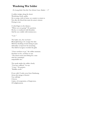### Wandering War Soldier

Po Leung Kuk Choi Kai Yau School, Lam, Haidee - 17

A soldier trudges along the desert Wandering, lonely, guilty. He is young, with no home, no country to return to Not after the blood that stains his armor crimson Drying to rust.

A robed figure in the distance. "Where are you going?" He questions. His face is weathered with blemishes And his eyes crinkle with reminiscence.

"I am–"

The battle cries, the war horn-Blood glistening as he avenges the slain With his sheathing sword; hissing in pain Adrenaline overpowers his mourning. The thrill of savagery overrides his guilt.

"I have nowhere to go," the soldier murmurs. Nowhere to live, nowhere to run. "The desert seems most fitting for a man who has committed unspeakable sins."

The monk studies the soldier closely. "You have suffered," he says. "Come." He gestures. "Buddha awaits."

If you walk 15 miles away from Dunhuang, Across the mirage of deserts-You will find A haven. A place of recuperation, of forgiveness, Of enlightenment.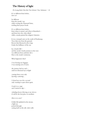# The History of light

Po Leung Kuk Choi Kai Yau School, Tsai, Solomon - 16

It's so different from before, how so?

So different from the monks' zen while reciting the Diamond Sutra, twirling their prayer beads.

It's so different from before, from when it started, and when it flourished and from how the color ebbed while a monk painted his religion's histories.

It was a tranquil oasis on the south of Dunhuang: Trees that rose from the ground, flowers that bloomed at the twigs. Under the brilliance of the sun

lay a lonely hill and the monk's lonely journey to the west was different from anybody else's. Here is the monk's testimony.

What happened, then?

I was bearing my baggage, I was running out of water,

the journey had no end until ten thousand rays of light

coming from every side, layering, scattering…

I closed my eyes for a second only wanting to open them again.

I took it as a sign and I started to dig—

whistling breeze blowing at my sleeves. It will be the best place to meditate.

How is it, now?

A little fish splashed in the stream, a light ray peeked through. casting itself on the tall, wide walls: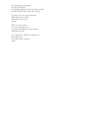the deities flying, soaring high, towards the sunlit sky, the plucking, gliding notes from the pipa ensemble. A painter finished with a wide smile, because

he's done it, one of so many thousands. What did time do to them? Paint fades into specks of mirages.

What was sat by monks are now sat by spider webs. So much for that light ray, lonely and late— Nothing is the same.

Is it a sign that it is destined to vanish away? How shall it wait for its former glory and peace again?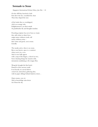### Serenade to Stone

Singapore International School, Boey, Jun Xin  $-16$ 

On the cliff they knocked a hole First drew the face, moulded the chest Then they shaped the nose

of the leader they so worshipped, clad in an orange robe. Enlightenment is on their minds As paintbrushes fly and thoughts translate.

Preaching scripture has never been so visual, they add colour to dusty faces, assign names without words, tell stories without action that's done and good, cast in stone. Literally.

The monks arrive, there is no room. But as one knows, space is a construct when you're in a cave. And so new halls appear with a snap of the fingers, a shovel or two, Soon chanting brings the murals to life, intonations undulating as the tongue flies;

Wang Jie brought the first book-Pinnacle of the ancient world It sat heavily on carved shelves conserved, untouched, gathering dust, with its paper siblings behind shadowy doors…

Open sesame, you cry And so knowledge rains down As if from the sky.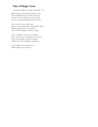# Tales of Mogao Caves

St. Joseph's College, Siu, Sung Yan Ronald - 16

Eight hundred years slipp'd by buried in sand, The wonderful works, we relish with rhyme. Lift the veil, and so light from wonder's land Reach us, refracted through the Lake of Time.

It was sunset sixteen centuries ago, When a monk caught sight of bright golden lights, Buddhas appearing above the grottoes. Here laid the foundation of hist'ry's might.

Time, so childish, came and went silently. Pieces of rocks met, and sculptures were form'd, Paint coloured Eagles and Deers ardently. Telling tales of how Buddhism transform'd.

Until mankind's reincarnation's eve, Indestructible, forever they live.